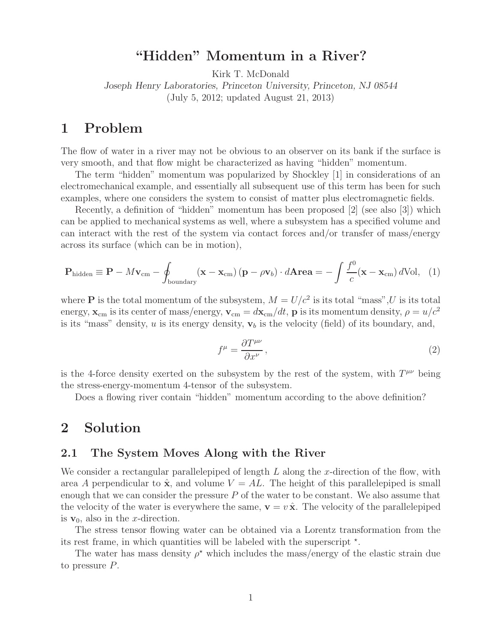## **"Hidden" Momentum in a River?**

Kirk T. McDonald

*Joseph Henry Laboratories, Princeton University, Princeton, NJ 08544* (July 5, 2012; updated August 21, 2013)

# **1 Problem**

The flow of water in a river may not be obvious to an observer on its bank if the surface is very smooth, and that flow might be characterized as having "hidden" momentum.

The term "hidden" momentum was popularized by Shockley [1] in considerations of an electromechanical example, and essentially all subsequent use of this term has been for such examples, where one considers the system to consist of matter plus electromagnetic fields.

Recently, a definition of "hidden" momentum has been proposed [2] (see also [3]) which can be applied to mechanical systems as well, where a subsystem has a specified volume and can interact with the rest of the system via contact forces and/or transfer of mass/energy across its surface (which can be in motion),

$$
\mathbf{P}_{\text{hidden}} \equiv \mathbf{P} - M\mathbf{v}_{\text{cm}} - \oint_{\text{boundary}} (\mathbf{x} - \mathbf{x}_{\text{cm}}) (\mathbf{p} - \rho \mathbf{v}_b) \cdot d\mathbf{A} \mathbf{r} \mathbf{e} \mathbf{a} = -\int \frac{f^0}{c} (\mathbf{x} - \mathbf{x}_{\text{cm}}) d\text{Vol}, \quad (1)
$$

where **P** is the total momentum of the subsystem,  $M = U/c^2$  is its total "mass", U is its total energy,  $\mathbf{x}_{cm}$  is its center of mass/energy,  $\mathbf{v}_{cm} = d\mathbf{x}_{cm}/dt$ , **p** is its momentum density,  $\rho = u/c^2$ is its "mass" density,  $u$  is its energy density,  $v_b$  is the velocity (field) of its boundary, and,

$$
f^{\mu} = \frac{\partial T^{\mu\nu}}{\partial x^{\nu}},\tag{2}
$$

is the 4-force density exerted on the subsystem by the rest of the system, with  $T^{\mu\nu}$  being the stress-energy-momentum 4-tensor of the subsystem.

Does a flowing river contain "hidden" momentum according to the above definition?

### **2 Solution**

#### **2.1 The System Moves Along with the River**

We consider a rectangular parallelepiped of length  $L$  along the x-direction of the flow, with area A perpendicular to  $\hat{\mathbf{x}}$ , and volume  $V = AL$ . The height of this parallelepiped is small enough that we can consider the pressure  $P$  of the water to be constant. We also assume that the velocity of the water is everywhere the same,  $\mathbf{v} = v \hat{\mathbf{x}}$ . The velocity of the parallelepiped is  $\mathbf{v}_0$ , also in the x-direction.

The stress tensor flowing water can be obtained via a Lorentz transformation from the its rest frame, in which quantities will be labeled with the superscript  $\star$ .

The water has mass density  $\rho^*$  which includes the mass/energy of the elastic strain due to pressure P.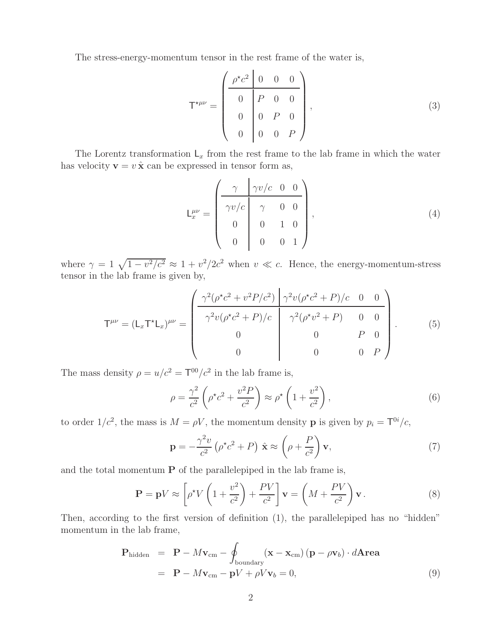The stress-energy-momentum tensor in the rest frame of the water is,

$$
\mathsf{T}^{\star\mu\nu} = \begin{pmatrix} \rho^{\star}c^2 & 0 & 0 & 0 \\ 0 & P & 0 & 0 \\ 0 & 0 & P & 0 \\ 0 & 0 & 0 & P \end{pmatrix}, \tag{3}
$$

The Lorentz transformation  $L_x$  from the rest frame to the lab frame in which the water has velocity  $\mathbf{v} = v \hat{\mathbf{x}}$  can be expressed in tensor form as,

$$
\mathsf{L}^{\mu\nu}_{x} = \begin{pmatrix} \gamma & \gamma v/c & 0 & 0 \\ \gamma v/c & \gamma & 0 & 0 \\ 0 & 0 & 1 & 0 \\ 0 & 0 & 0 & 1 \end{pmatrix}, \tag{4}
$$

where  $\gamma = 1 \sqrt{1 - v^2/c^2} \approx 1 + v^2/2c^2$  when  $v \ll c$ . Hence, the energy-momentum-stress tensor in the lab frame is given by,

$$
\mathsf{T}^{\mu\nu} = (\mathsf{L}_x \mathsf{T}^\star \mathsf{L}_x)^{\mu\nu} = \begin{pmatrix} \frac{\gamma^2 (\rho^\star c^2 + v^2 P/c^2)}{\gamma^2 v (\rho^\star c^2 + P)/c} & \frac{\gamma^2 v (\rho^\star c^2 + P)/c & 0 & 0}{\gamma^2 (\rho^\star v^2 + P)} & 0 & 0\\ 0 & 0 & P & 0\\ 0 & 0 & 0 & P \end{pmatrix} . \tag{5}
$$

The mass density  $\rho = u/c^2 = T^{00}/c^2$  in the lab frame is,

$$
\rho = \frac{\gamma^2}{c^2} \left( \rho^{\star} c^2 + \frac{v^2 P}{c^2} \right) \approx \rho^{\star} \left( 1 + \frac{v^2}{c^2} \right),\tag{6}
$$

to order  $1/c^2$ , the mass is  $M = \rho V$ , the momentum density **p** is given by  $p_i = T^{0i}/c$ ,

$$
\mathbf{p} = -\frac{\gamma^2 v}{c^2} \left( \rho^{\star} c^2 + P \right) \hat{\mathbf{x}} \approx \left( \rho + \frac{P}{c^2} \right) \mathbf{v},\tag{7}
$$

and the total momentum **P** of the parallelepiped in the lab frame is,

$$
\mathbf{P} = \mathbf{p}V \approx \left[\rho^*V\left(1 + \frac{v^2}{c^2}\right) + \frac{PV}{c^2}\right]\mathbf{v} = \left(M + \frac{PV}{c^2}\right)\mathbf{v}.
$$
 (8)

Then, according to the first version of definition (1), the parallelepiped has no "hidden" momentum in the lab frame,

$$
\mathbf{P}_{\text{hidden}} = \mathbf{P} - M\mathbf{v}_{\text{cm}} - \oint_{\text{boundary}} (\mathbf{x} - \mathbf{x}_{\text{cm}}) (\mathbf{p} - \rho \mathbf{v}_b) \cdot d\mathbf{Area}
$$
  
=  $\mathbf{P} - M\mathbf{v}_{\text{cm}} - \mathbf{p}V + \rho V\mathbf{v}_b = 0,$  (9)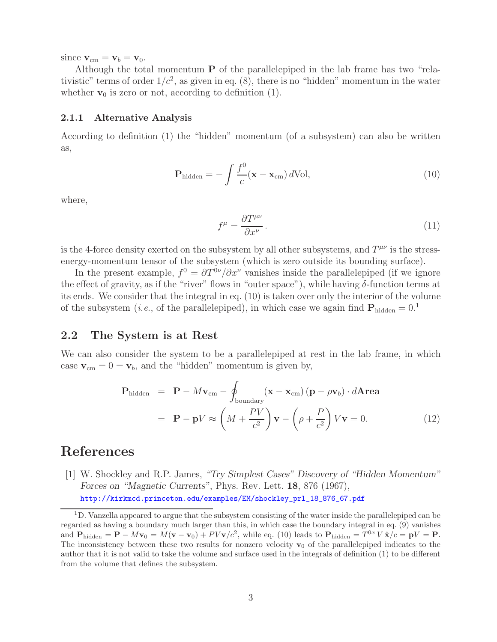since  $\mathbf{v}_{\text{cm}} = \mathbf{v}_b = \mathbf{v}_0$ .

Although the total momentum **P** of the parallelepiped in the lab frame has two "relativistic" terms of order  $1/c^2$ , as given in eq. (8), there is no "hidden" momentum in the water whether  $\mathbf{v}_0$  is zero or not, according to definition  $(1)$ .

#### **2.1.1 Alternative Analysis**

According to definition (1) the "hidden" momentum (of a subsystem) can also be written as,

$$
\mathbf{P}_{\text{hidden}} = -\int \frac{f^0}{c} (\mathbf{x} - \mathbf{x}_{\text{cm}}) \, d\text{Vol}, \tag{10}
$$

where,

$$
f^{\mu} = \frac{\partial T^{\mu\nu}}{\partial x^{\nu}}.
$$
\n(11)

is the 4-force density exerted on the subsystem by all other subsystems, and  $T^{\mu\nu}$  is the stressenergy-momentum tensor of the subsystem (which is zero outside its bounding surface).

In the present example,  $f^0 = \partial T^{0\nu}/\partial x^{\nu}$  vanishes inside the parallelepiped (if we ignore the effect of gravity, as if the "river" flows in "outer space"), while having  $\delta$ -function terms at its ends. We consider that the integral in eq. (10) is taken over only the interior of the volume of the subsystem (*i.e.*, of the parallelepiped), in which case we again find  $P_{hidden} = 0.1$ 

### **2.2 The System is at Rest**

We can also consider the system to be a parallelepiped at rest in the lab frame, in which case  $\mathbf{v}_{cm} = 0 = \mathbf{v}_b$ , and the "hidden" momentum is given by,

$$
\mathbf{P}_{\text{hidden}} = \mathbf{P} - M\mathbf{v}_{\text{cm}} - \oint_{\text{boundary}} (\mathbf{x} - \mathbf{x}_{\text{cm}}) (\mathbf{p} - \rho \mathbf{v}_b) \cdot d\mathbf{Area}
$$

$$
= \mathbf{P} - \mathbf{p}V \approx \left( M + \frac{PV}{c^2} \right) \mathbf{v} - \left( \rho + \frac{P}{c^2} \right) V \mathbf{v} = 0. \tag{12}
$$

## **References**

[1] W. Shockley and R.P. James, *"Try Simplest Cases" Discovery of "Hidden Momentum" Forces on "Magnetic Currents"*, Phys. Rev. Lett. **18**, 876 (1967), http://kirkmcd.princeton.edu/examples/EM/shockley\_prl\_18\_876\_67.pdf

<sup>&</sup>lt;sup>1</sup>D. Vanzella appeared to argue that the subsystem consisting of the water inside the parallelepiped can be regarded as having a boundary much larger than this, in which case the boundary integral in eq. (9) vanishes and  $P_{\text{hidden}} = \mathbf{P} - M\mathbf{v}_0 = M(\mathbf{v} - \mathbf{v}_0) + PV\mathbf{v}/c^2$ , while eq. (10) leads to  $P_{\text{hidden}} = T^{0x} V \hat{\mathbf{x}}/c = \mathbf{p}V = \mathbf{P}$ . The inconsistency between these two results for nonzero velocity  $\mathbf{v}_0$  of the parallelepiped indicates to the author that it is not valid to take the volume and surface used in the integrals of definition (1) to be different from the volume that defines the subsystem.